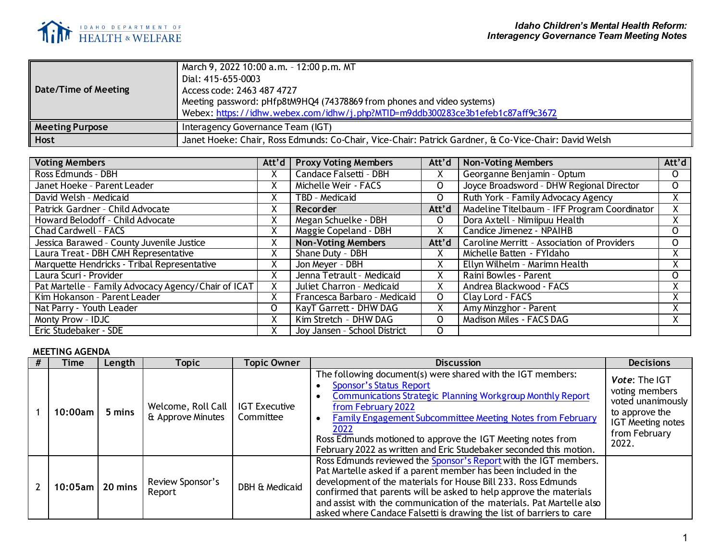

| Date/Time of Meeting   | March 9, 2022 10:00 a.m. - 12:00 p.m. MT<br>Dial: 415-655-0003<br>Access code: 2463 487 4727<br>Meeting password: pHfp8tM9HQ4 (74378869 from phones and video systems)<br>Webex: https://idhw.webex.com/idhw/j.php?MTID=m9ddb300283ce3b1efeb1c87aff9c3672 |
|------------------------|-----------------------------------------------------------------------------------------------------------------------------------------------------------------------------------------------------------------------------------------------------------|
| <b>Meeting Purpose</b> | Interagency Governance Team (IGT)                                                                                                                                                                                                                         |
| <b>Host</b>            | Janet Hoeke: Chair, Ross Edmunds: Co-Chair, Vice-Chair: Patrick Gardner, & Co-Vice-Chair: David Welsh                                                                                                                                                     |

| <b>Voting Members</b>                               | Att'd     | <b>Proxy Voting Members</b>  | Att'd | <b>Non-Voting Members</b>                          | Att'd          |
|-----------------------------------------------------|-----------|------------------------------|-------|----------------------------------------------------|----------------|
| Ross Edmunds - DBH                                  |           | Candace Falsetti - DBH       | Χ     | Georganne Benjamin - Optum                         | $\mathsf{O}$   |
| Janet Hoeke - Parent Leader                         | X.        | Michelle Weir - FACS         | 0     | Joyce Broadsword - DHW Regional Director           | $\mathsf{O}$   |
| David Welsh - Medicaid                              |           | TBD - Medicaid               | 0     | Ruth York - Family Advocacy Agency                 | $\overline{X}$ |
| Patrick Gardner - Child Advocate                    | $\lambda$ | Recorder                     | Att'd | Madeline Titelbaum - IFF Program Coordinator       |                |
| Howard Belodoff - Child Advocate                    | X         | Megan Schuelke - DBH         | 0     | Dora Axtell - Nimiipuu Health                      | X.             |
| Chad Cardwell - FACS                                |           | Maggie Copeland - DBH        | x     | Candice Jimenez - NPAIHB                           | $\mathsf{O}$   |
| Jessica Barawed - County Juvenile Justice           | v         | <b>Non-Voting Members</b>    | Att'd | <b>Caroline Merritt - Association of Providers</b> | $\Omega$       |
| Laura Treat - DBH CMH Representative                | X         | Shane Duty - DBH             | x     | Michelle Batten - FYI daho                         | X.             |
| Marquette Hendricks - Tribal Representative         |           | Jon Meyer - DBH              | Χ     | Ellyn Wilhelm - Marimn Health                      | Χ              |
| Laura Scuri - Provider                              |           | Jenna Tetrault - Medicaid    | Χ     | Raini Bowles - Parent                              | $\Omega$       |
| Pat Martelle - Family Advocacy Agency/Chair of ICAT |           | Juliet Charron - Medicaid    | Χ     | Andrea Blackwood - FACS                            |                |
| Kim Hokanson - Parent Leader                        |           | Francesca Barbaro - Medicaid | 0     | Clay Lord - FACS                                   | Χ              |
| Nat Parry - Youth Leader                            | 0         | KayT Garrett - DHW DAG       | Χ     | Amy Minzghor - Parent                              |                |
| Monty Prow - IDJC                                   |           | Kim Stretch - DHW DAG        | 0     | Madison Miles - FACS DAG                           | Χ              |
| Eric Studebaker - SDE                               |           | Joy Jansen - School District | O     |                                                    |                |

## **MEETING AGENDA**

| Time               | Length | Topic                                   | Topic Owner                       | <b>Discussion</b>                                                                                                                                                                                                                                                                                                                                                                                                          | <b>Decisions</b>                                                                                                             |
|--------------------|--------|-----------------------------------------|-----------------------------------|----------------------------------------------------------------------------------------------------------------------------------------------------------------------------------------------------------------------------------------------------------------------------------------------------------------------------------------------------------------------------------------------------------------------------|------------------------------------------------------------------------------------------------------------------------------|
| 10:00am l          | 5 mins | Welcome, Roll Call<br>& Approve Minutes | <b>IGT Executive</b><br>Committee | The following document(s) were shared with the IGT members:<br><b>Sponsor's Status Report</b><br><b>Communications Strategic Planning Workgroup Monthly Report</b><br>from February 2022<br>Family Engagement Subcommittee Meeting Notes from February<br>2022<br>Ross Edmunds motioned to approve the IGT Meeting notes from<br>February 2022 as written and Eric Studebaker seconded this motion.                        | Vote: The IGT<br>voting members<br>voted unanimously<br>to approve the<br><b>IGT Meeting notes</b><br>from February<br>2022. |
| $10:05$ am 20 mins |        | Review Sponsor's<br>Report              | DBH & Medicaid                    | Ross Edmunds reviewed the Sponsor's Report with the IGT members.<br>Pat Martelle asked if a parent member has been included in the<br>development of the materials for House Bill 233. Ross Edmunds<br>confirmed that parents will be asked to help approve the materials<br>and assist with the communication of the materials. Pat Martelle also<br>asked where Candace Falsetti is drawing the list of barriers to care |                                                                                                                              |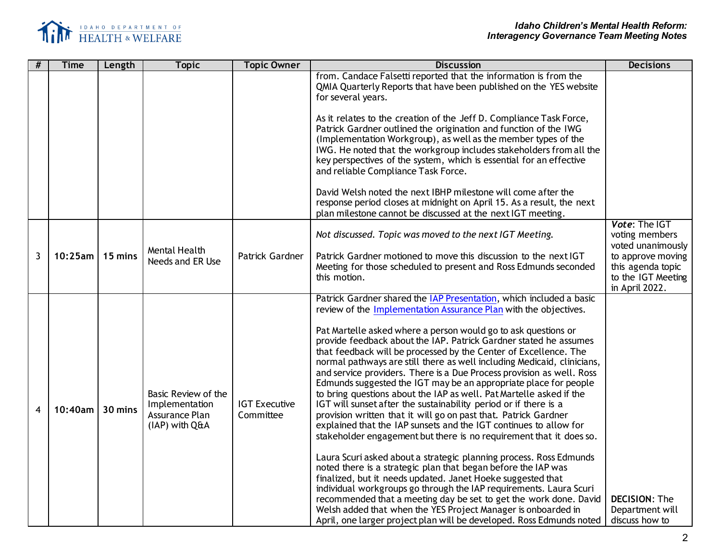

| #            | <b>Time</b> | Length  | <b>Topic</b>                                                              | <b>Topic Owner</b>                | <b>Discussion</b>                                                                                                                                                                                                                                                                                                                                                                                                                                                                                                                                                                                                                                                                                                                                                                                                                                                                                                                                                                                                                                                                                                                                                                                                | <b>Decisions</b>                                                                                                     |
|--------------|-------------|---------|---------------------------------------------------------------------------|-----------------------------------|------------------------------------------------------------------------------------------------------------------------------------------------------------------------------------------------------------------------------------------------------------------------------------------------------------------------------------------------------------------------------------------------------------------------------------------------------------------------------------------------------------------------------------------------------------------------------------------------------------------------------------------------------------------------------------------------------------------------------------------------------------------------------------------------------------------------------------------------------------------------------------------------------------------------------------------------------------------------------------------------------------------------------------------------------------------------------------------------------------------------------------------------------------------------------------------------------------------|----------------------------------------------------------------------------------------------------------------------|
|              |             |         |                                                                           |                                   | from. Candace Falsetti reported that the information is from the<br>QMIA Quarterly Reports that have been published on the YES website<br>for several years.                                                                                                                                                                                                                                                                                                                                                                                                                                                                                                                                                                                                                                                                                                                                                                                                                                                                                                                                                                                                                                                     |                                                                                                                      |
|              |             |         |                                                                           |                                   | As it relates to the creation of the Jeff D. Compliance Task Force,<br>Patrick Gardner outlined the origination and function of the IWG<br>(Implementation Workgroup), as well as the member types of the<br>IWG. He noted that the workgroup includes stakeholders from all the<br>key perspectives of the system, which is essential for an effective<br>and reliable Compliance Task Force.                                                                                                                                                                                                                                                                                                                                                                                                                                                                                                                                                                                                                                                                                                                                                                                                                   |                                                                                                                      |
|              |             |         |                                                                           |                                   | David Welsh noted the next IBHP milestone will come after the<br>response period closes at midnight on April 15. As a result, the next<br>plan milestone cannot be discussed at the next IGT meeting.                                                                                                                                                                                                                                                                                                                                                                                                                                                                                                                                                                                                                                                                                                                                                                                                                                                                                                                                                                                                            |                                                                                                                      |
| $\mathbf{3}$ | 10:25am     | 15 mins | Mental Health<br>Needs and ER Use                                         | Patrick Gardner                   | Not discussed. Topic was moved to the next IGT Meeting.<br>Patrick Gardner motioned to move this discussion to the next IGT<br>Meeting for those scheduled to present and Ross Edmunds seconded<br>this motion.                                                                                                                                                                                                                                                                                                                                                                                                                                                                                                                                                                                                                                                                                                                                                                                                                                                                                                                                                                                                  | Vote: The IGT<br>voting members<br>voted unanimously<br>to approve moving<br>this agenda topic<br>to the IGT Meeting |
|              |             |         |                                                                           |                                   |                                                                                                                                                                                                                                                                                                                                                                                                                                                                                                                                                                                                                                                                                                                                                                                                                                                                                                                                                                                                                                                                                                                                                                                                                  | in April 2022.                                                                                                       |
| 4            | 10:40am     | 30 mins | Basic Review of the<br>Implementation<br>Assurance Plan<br>(IAP) with Q&A | <b>IGT Executive</b><br>Committee | Patrick Gardner shared the IAP Presentation, which included a basic<br>review of the Implementation Assurance Plan with the objectives.<br>Pat Martelle asked where a person would go to ask questions or<br>provide feedback about the IAP. Patrick Gardner stated he assumes<br>that feedback will be processed by the Center of Excellence. The<br>normal pathways are still there as well including Medicaid, clinicians,<br>and service providers. There is a Due Process provision as well. Ross<br>Edmunds suggested the IGT may be an appropriate place for people<br>to bring questions about the IAP as well. Pat Martelle asked if the<br>IGT will sunset after the sustainability period or if there is a<br>provision written that it will go on past that. Patrick Gardner<br>explained that the IAP sunsets and the IGT continues to allow for<br>stakeholder engagement but there is no requirement that it does so.<br>Laura Scuri asked about a strategic planning process. Ross Edmunds<br>noted there is a strategic plan that began before the IAP was<br>finalized, but it needs updated. Janet Hoeke suggested that<br>individual workgroups go through the IAP requirements. Laura Scuri |                                                                                                                      |
|              |             |         |                                                                           |                                   | recommended that a meeting day be set to get the work done. David<br>Welsh added that when the YES Project Manager is onboarded in<br>April, one larger project plan will be developed. Ross Edmunds noted                                                                                                                                                                                                                                                                                                                                                                                                                                                                                                                                                                                                                                                                                                                                                                                                                                                                                                                                                                                                       | <b>DECISION: The</b><br>Department will<br>discuss how to                                                            |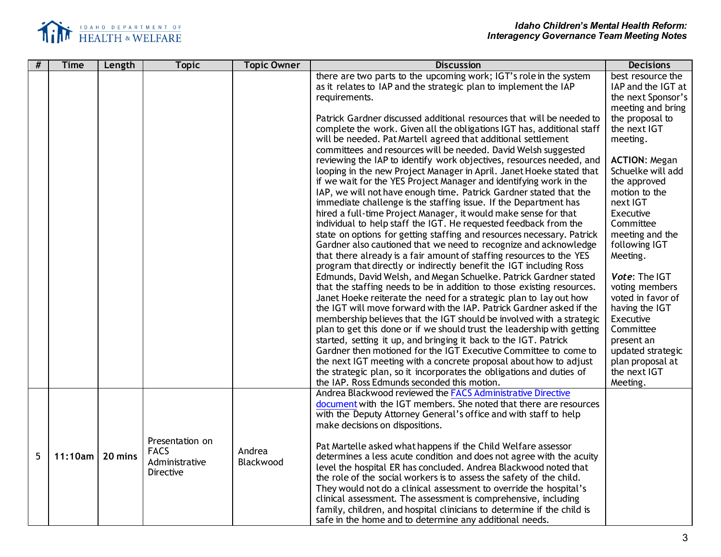

| # | <b>Time</b> | Length  | <b>Topic</b>     | <b>Topic Owner</b> | <b>Discussion</b>                                                       | <b>Decisions</b>     |
|---|-------------|---------|------------------|--------------------|-------------------------------------------------------------------------|----------------------|
|   |             |         |                  |                    | there are two parts to the upcoming work; IGT's role in the system      | best resource the    |
|   |             |         |                  |                    | as it relates to IAP and the strategic plan to implement the IAP        | IAP and the IGT at   |
|   |             |         |                  |                    | requirements.                                                           | the next Sponsor's   |
|   |             |         |                  |                    |                                                                         | meeting and bring    |
|   |             |         |                  |                    | Patrick Gardner discussed additional resources that will be needed to   | the proposal to      |
|   |             |         |                  |                    | complete the work. Given all the obligations IGT has, additional staff  | the next IGT         |
|   |             |         |                  |                    | will be needed. Pat Martell agreed that additional settlement           | meeting.             |
|   |             |         |                  |                    | committees and resources will be needed. David Welsh suggested          |                      |
|   |             |         |                  |                    | reviewing the IAP to identify work objectives, resources needed, and    | <b>ACTION: Megan</b> |
|   |             |         |                  |                    | looping in the new Project Manager in April. Janet Hoeke stated that    | Schuelke will add    |
|   |             |         |                  |                    | if we wait for the YES Project Manager and identifying work in the      | the approved         |
|   |             |         |                  |                    | IAP, we will not have enough time. Patrick Gardner stated that the      | motion to the        |
|   |             |         |                  |                    | immediate challenge is the staffing issue. If the Department has        | next IGT             |
|   |             |         |                  |                    | hired a full-time Project Manager, it would make sense for that         | Executive            |
|   |             |         |                  |                    | individual to help staff the IGT. He requested feedback from the        | Committee            |
|   |             |         |                  |                    | state on options for getting staffing and resources necessary. Patrick  | meeting and the      |
|   |             |         |                  |                    | Gardner also cautioned that we need to recognize and acknowledge        | following IGT        |
|   |             |         |                  |                    | that there already is a fair amount of staffing resources to the YES    | Meeting.             |
|   |             |         |                  |                    | program that directly or indirectly benefit the IGT including Ross      |                      |
|   |             |         |                  |                    | Edmunds, David Welsh, and Megan Schuelke. Patrick Gardner stated        | Vote: The IGT        |
|   |             |         |                  |                    | that the staffing needs to be in addition to those existing resources.  | voting members       |
|   |             |         |                  |                    | Janet Hoeke reiterate the need for a strategic plan to lay out how      | voted in favor of    |
|   |             |         |                  |                    | the IGT will move forward with the IAP. Patrick Gardner asked if the    | having the IGT       |
|   |             |         |                  |                    | membership believes that the IGT should be involved with a strategic    | Executive            |
|   |             |         |                  |                    | plan to get this done or if we should trust the leadership with getting | Committee            |
|   |             |         |                  |                    | started, setting it up, and bringing it back to the IGT. Patrick        | present an           |
|   |             |         |                  |                    | Gardner then motioned for the IGT Executive Committee to come to        | updated strategic    |
|   |             |         |                  |                    | the next IGT meeting with a concrete proposal about how to adjust       | plan proposal at     |
|   |             |         |                  |                    | the strategic plan, so it incorporates the obligations and duties of    | the next IGT         |
|   |             |         |                  |                    | the IAP. Ross Edmunds seconded this motion.                             | Meeting.             |
|   |             |         |                  |                    | Andrea Blackwood reviewed the FACS Administrative Directive             |                      |
|   |             |         |                  |                    | document with the IGT members. She noted that there are resources       |                      |
|   |             |         |                  |                    | with the Deputy Attorney General's office and with staff to help        |                      |
|   |             |         |                  |                    | make decisions on dispositions.                                         |                      |
|   |             |         |                  |                    |                                                                         |                      |
|   |             |         | Presentation on  |                    | Pat Martelle asked what happens if the Child Welfare assessor           |                      |
| 5 | 11:10am     | 20 mins | <b>FACS</b>      | Andrea             | determines a less acute condition and does not agree with the acuity    |                      |
|   |             |         | Administrative   | Blackwood          | level the hospital ER has concluded. Andrea Blackwood noted that        |                      |
|   |             |         | <b>Directive</b> |                    | the role of the social workers is to assess the safety of the child.    |                      |
|   |             |         |                  |                    | They would not do a clinical assessment to override the hospital's      |                      |
|   |             |         |                  |                    | clinical assessment. The assessment is comprehensive, including         |                      |
|   |             |         |                  |                    | family, children, and hospital clinicians to determine if the child is  |                      |
|   |             |         |                  |                    | safe in the home and to determine any additional needs.                 |                      |
|   |             |         |                  |                    |                                                                         |                      |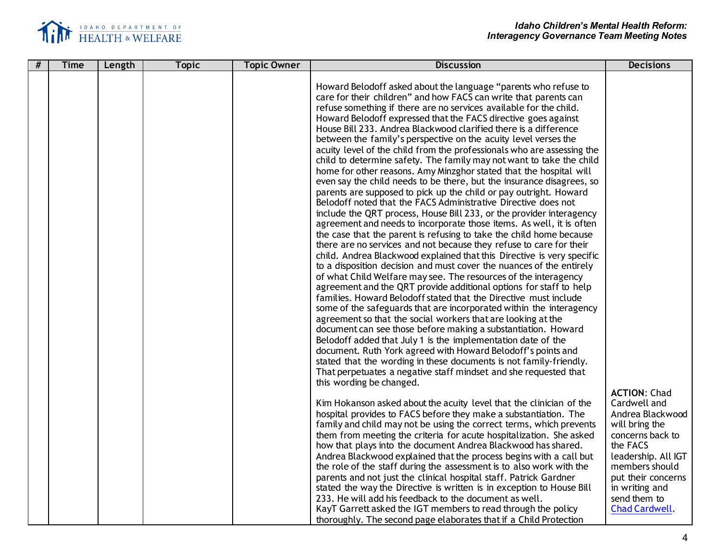

| # | <b>Time</b> | Length | <b>Topic</b> | <b>Topic Owner</b> | <b>Discussion</b>                                                                                                                                                                                                                                                                                                                                                                                                                                                                                                                                                                                                                                                                                                                                                                                                                                                                                                                                                                                                                                                                                                                                                                                                                                                                                                                                                                                                                                                                                                                                                                                                                                                                                                                                                                                                                                                                                                                                                                                                                                                                                                                                                                                                                                                                                                                                                                                                                                                                                                                                                                                                                                                                                                                                                                                                      | <b>Decisions</b>                                                                                                                                                                                                             |
|---|-------------|--------|--------------|--------------------|------------------------------------------------------------------------------------------------------------------------------------------------------------------------------------------------------------------------------------------------------------------------------------------------------------------------------------------------------------------------------------------------------------------------------------------------------------------------------------------------------------------------------------------------------------------------------------------------------------------------------------------------------------------------------------------------------------------------------------------------------------------------------------------------------------------------------------------------------------------------------------------------------------------------------------------------------------------------------------------------------------------------------------------------------------------------------------------------------------------------------------------------------------------------------------------------------------------------------------------------------------------------------------------------------------------------------------------------------------------------------------------------------------------------------------------------------------------------------------------------------------------------------------------------------------------------------------------------------------------------------------------------------------------------------------------------------------------------------------------------------------------------------------------------------------------------------------------------------------------------------------------------------------------------------------------------------------------------------------------------------------------------------------------------------------------------------------------------------------------------------------------------------------------------------------------------------------------------------------------------------------------------------------------------------------------------------------------------------------------------------------------------------------------------------------------------------------------------------------------------------------------------------------------------------------------------------------------------------------------------------------------------------------------------------------------------------------------------------------------------------------------------------------------------------------------------|------------------------------------------------------------------------------------------------------------------------------------------------------------------------------------------------------------------------------|
|   |             |        |              |                    | Howard Belodoff asked about the language "parents who refuse to<br>care for their children" and how FACS can write that parents can<br>refuse something if there are no services available for the child.<br>Howard Belodoff expressed that the FACS directive goes against<br>House Bill 233. Andrea Blackwood clarified there is a difference<br>between the family's perspective on the acuity level verses the<br>acuity level of the child from the professionals who are assessing the<br>child to determine safety. The family may not want to take the child<br>home for other reasons. Amy Minzghor stated that the hospital will<br>even say the child needs to be there, but the insurance disagrees, so<br>parents are supposed to pick up the child or pay outright. Howard<br>Belodoff noted that the FACS Administrative Directive does not<br>include the QRT process, House Bill 233, or the provider interagency<br>agreement and needs to incorporate those items. As well, it is often<br>the case that the parent is refusing to take the child home because<br>there are no services and not because they refuse to care for their<br>child. Andrea Blackwood explained that this Directive is very specific<br>to a disposition decision and must cover the nuances of the entirely<br>of what Child Welfare may see. The resources of the interagency<br>agreement and the QRT provide additional options for staff to help<br>families. Howard Belodoff stated that the Directive must include<br>some of the safeguards that are incorporated within the interagency<br>agreement so that the social workers that are looking at the<br>document can see those before making a substantiation. Howard<br>Belodoff added that July 1 is the implementation date of the<br>document. Ruth York agreed with Howard Belodoff's points and<br>stated that the wording in these documents is not family-friendly.<br>That perpetuates a negative staff mindset and she requested that<br>this wording be changed.<br>Kim Hokanson asked about the acuity level that the clinician of the<br>hospital provides to FACS before they make a substantiation. The<br>family and child may not be using the correct terms, which prevents<br>them from meeting the criteria for acute hospitalization. She asked<br>how that plays into the document Andrea Blackwood has shared.<br>Andrea Blackwood explained that the process begins with a call but<br>the role of the staff during the assessment is to also work with the<br>parents and not just the clinical hospital staff. Patrick Gardner<br>stated the way the Directive is written is in exception to House Bill<br>233. He will add his feedback to the document as well.<br>KayT Garrett asked the IGT members to read through the policy | <b>ACTION: Chad</b><br>Cardwell and<br>Andrea Blackwood<br>will bring the<br>concerns back to<br>the FACS<br>leadership. All IGT<br>members should<br>put their concerns<br>in writing and<br>send them to<br>Chad Cardwell. |
|   |             |        |              |                    | thoroughly. The second page elaborates that if a Child Protection                                                                                                                                                                                                                                                                                                                                                                                                                                                                                                                                                                                                                                                                                                                                                                                                                                                                                                                                                                                                                                                                                                                                                                                                                                                                                                                                                                                                                                                                                                                                                                                                                                                                                                                                                                                                                                                                                                                                                                                                                                                                                                                                                                                                                                                                                                                                                                                                                                                                                                                                                                                                                                                                                                                                                      |                                                                                                                                                                                                                              |